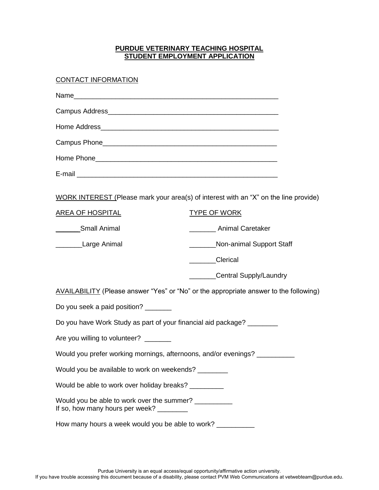### **PURDUE VETERINARY TEACHING HOSPITAL STUDENT EMPLOYMENT APPLICATION**

### CONTACT INFORMATION

|                                                                                                     | WORK INTEREST (Please mark your area(s) of interest with an "X" on the line provide)  |  |  |  |
|-----------------------------------------------------------------------------------------------------|---------------------------------------------------------------------------------------|--|--|--|
| <b>AREA OF HOSPITAL</b>                                                                             | <b>TYPE OF WORK</b>                                                                   |  |  |  |
| Small Animal                                                                                        | <b>Animal Caretaker</b>                                                               |  |  |  |
| Large Animal                                                                                        | Non-animal Support Staff                                                              |  |  |  |
|                                                                                                     | <b>Clerical</b>                                                                       |  |  |  |
|                                                                                                     | Central Supply/Laundry                                                                |  |  |  |
|                                                                                                     | AVAILABILITY (Please answer "Yes" or "No" or the appropriate answer to the following) |  |  |  |
| Do you seek a paid position?                                                                        |                                                                                       |  |  |  |
| Do you have Work Study as part of your financial aid package? ________                              |                                                                                       |  |  |  |
| Are you willing to volunteer?                                                                       |                                                                                       |  |  |  |
| Would you prefer working mornings, afternoons, and/or evenings? _________                           |                                                                                       |  |  |  |
| Would you be available to work on weekends? ________                                                |                                                                                       |  |  |  |
| Would be able to work over holiday breaks?                                                          |                                                                                       |  |  |  |
| Would you be able to work over the summer? ___________<br>If so, how many hours per week? _________ |                                                                                       |  |  |  |
| How many hours a week would you be able to work? ________                                           |                                                                                       |  |  |  |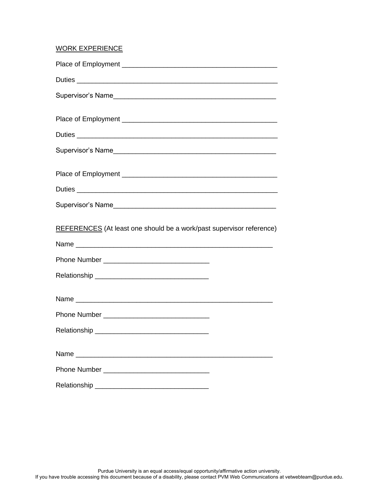# WORK EXPERIENCE

| REFERENCES (At least one should be a work/past supervisor reference) |  |
|----------------------------------------------------------------------|--|
|                                                                      |  |
|                                                                      |  |
|                                                                      |  |
|                                                                      |  |
|                                                                      |  |
|                                                                      |  |
|                                                                      |  |
|                                                                      |  |
|                                                                      |  |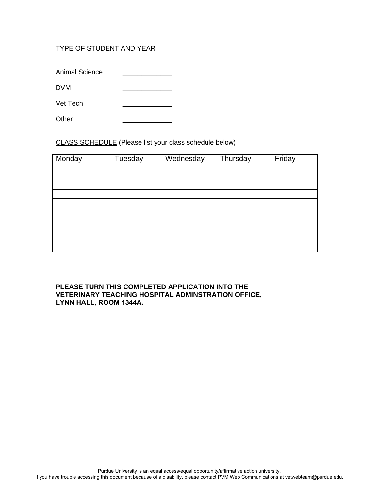## TYPE OF STUDENT AND YEAR

Animal Science

DVM \_\_\_\_\_\_\_\_\_\_\_\_\_

Vet Tech \_\_\_\_\_\_\_\_\_\_\_\_\_

Other

CLASS SCHEDULE (Please list your class schedule below)

| Monday | Tuesday | Wednesday | Thursday | Friday |
|--------|---------|-----------|----------|--------|
|        |         |           |          |        |
|        |         |           |          |        |
|        |         |           |          |        |
|        |         |           |          |        |
|        |         |           |          |        |
|        |         |           |          |        |
|        |         |           |          |        |
|        |         |           |          |        |
|        |         |           |          |        |
|        |         |           |          |        |

#### **PLEASE TURN THIS COMPLETED APPLICATION INTO THE VETERINARY TEACHING HOSPITAL ADMINSTRATION OFFICE, LYNN HALL, ROOM 1344A.**